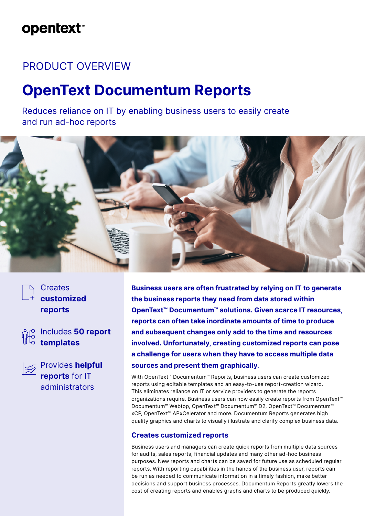## **opentext**™

### PRODUCT OVERVIEW

# **OpenText Documentum Reports**

Reduces reliance on IT by enabling business users to easily create and run ad-hoc reports



### **Creates customized reports**





Provides **helpful reports** for IT administrators

**Business users are often frustrated by relying on IT to generate the business reports they need from data stored within OpenText™ Documentum™ solutions. Given scarce IT resources, reports can often take inordinate amounts of time to produce and subsequent changes only add to the time and resources involved. Unfortunately, creating customized reports can pose a challenge for users when they have to access multiple data sources and present them graphically.**

With OpenText™ Documentum™ Reports, business users can create customized reports using editable templates and an easy-to-use report-creation wizard. This eliminates reliance on IT or service providers to generate the reports organizations require. Business users can now easily create reports from OpenText™ Documentum™ Webtop, OpenText™ Documentum™ D2, OpenText™ Documentum™ xCP, OpenText™ APxCelerator and more. Documentum Reports generates high quality graphics and charts to visually illustrate and clarify complex business data.

#### **Creates customized reports**

Business users and managers can create quick reports from multiple data sources for audits, sales reports, financial updates and many other ad-hoc business purposes. New reports and charts can be saved for future use as scheduled regular reports. With reporting capabilities in the hands of the business user, reports can be run as needed to communicate information in a timely fashion, make better decisions and support business processes. Documentum Reports greatly lowers the cost of creating reports and enables graphs and charts to be produced quickly.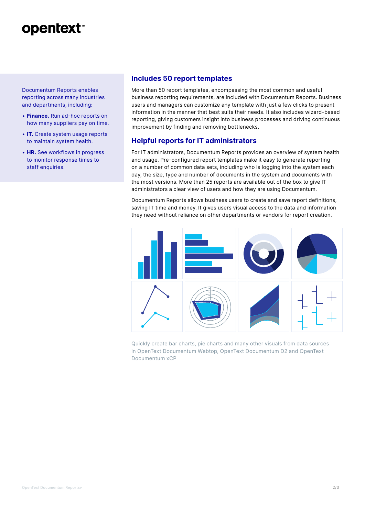## **opentext**

Documentum Reports enables reporting across many industries and departments, including:

- **Finance.** Run ad-hoc reports on how many suppliers pay on time.
- **IT.** Create system usage reports to maintain system health.
- **HR.** See workflows in progress to monitor response times to staff enquiries.

#### **Includes 50 report templates**

More than 50 report templates, encompassing the most common and useful business reporting requirements, are included with Documentum Reports. Business users and managers can customize any template with just a few clicks to present information in the manner that best suits their needs. It also includes wizard-based reporting, giving customers insight into business processes and driving continuous improvement by finding and removing bottlenecks.

#### **Helpful reports for IT administrators**

For IT administrators, Documentum Reports provides an overview of system health and usage. Pre-configured report templates make it easy to generate reporting on a number of common data sets, including who is logging into the system each day, the size, type and number of documents in the system and documents with the most versions. More than 25 reports are available out of the box to give IT administrators a clear view of users and how they are using Documentum.

Documentum Reports allows business users to create and save report definitions, saving IT time and money. It gives users visual access to the data and information they need without reliance on other departments or vendors for report creation.



Quickly create bar charts, pie charts and many other visuals from data sources in OpenText Documentum Webtop, OpenText Documentum D2 and OpenText Documentum xCP